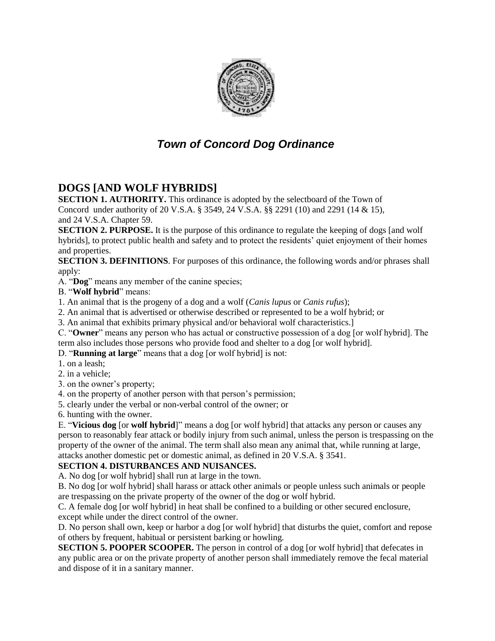

# *Town of Concord Dog Ordinance*

## **DOGS [AND WOLF HYBRIDS]**

**SECTION 1. AUTHORITY.** This ordinance is adopted by the selectboard of the Town of Concord under authority of 20 V.S.A. § 3549, 24 V.S.A. §§ 2291 (10) and 2291 (14 & 15),

and 24 V.S.A. Chapter 59.

**SECTION 2. PURPOSE.** It is the purpose of this ordinance to regulate the keeping of dogs [and wolf hybrids], to protect public health and safety and to protect the residents' quiet enjoyment of their homes and properties.

**SECTION 3. DEFINITIONS**. For purposes of this ordinance, the following words and/or phrases shall apply:

A. "**Dog**" means any member of the canine species;

B. "**Wolf hybrid**" means:

1. An animal that is the progeny of a dog and a wolf (*Canis lupus* or *Canis rufus*);

2. An animal that is advertised or otherwise described or represented to be a wolf hybrid; or

3. An animal that exhibits primary physical and/or behavioral wolf characteristics.]

C. "**Owner**" means any person who has actual or constructive possession of a dog [or wolf hybrid]. The term also includes those persons who provide food and shelter to a dog [or wolf hybrid].

D. "**Running at large**" means that a dog [or wolf hybrid] is not:

1. on a leash;

2. in a vehicle;

3. on the owner's property;

4. on the property of another person with that person's permission;

5. clearly under the verbal or non-verbal control of the owner; or

6. hunting with the owner.

E. "**Vicious dog** [or **wolf hybrid**]" means a dog [or wolf hybrid] that attacks any person or causes any person to reasonably fear attack or bodily injury from such animal, unless the person is trespassing on the property of the owner of the animal. The term shall also mean any animal that, while running at large, attacks another domestic pet or domestic animal, as defined in 20 V.S.A. § 3541.

#### **SECTION 4. DISTURBANCES AND NUISANCES.**

A. No dog [or wolf hybrid] shall run at large in the town.

B. No dog [or wolf hybrid] shall harass or attack other animals or people unless such animals or people are trespassing on the private property of the owner of the dog or wolf hybrid.

C. A female dog [or wolf hybrid] in heat shall be confined to a building or other secured enclosure, except while under the direct control of the owner.

D. No person shall own, keep or harbor a dog [or wolf hybrid] that disturbs the quiet, comfort and repose of others by frequent, habitual or persistent barking or howling.

**SECTION 5. POOPER SCOOPER.** The person in control of a dog [or wolf hybrid] that defecates in any public area or on the private property of another person shall immediately remove the fecal material and dispose of it in a sanitary manner.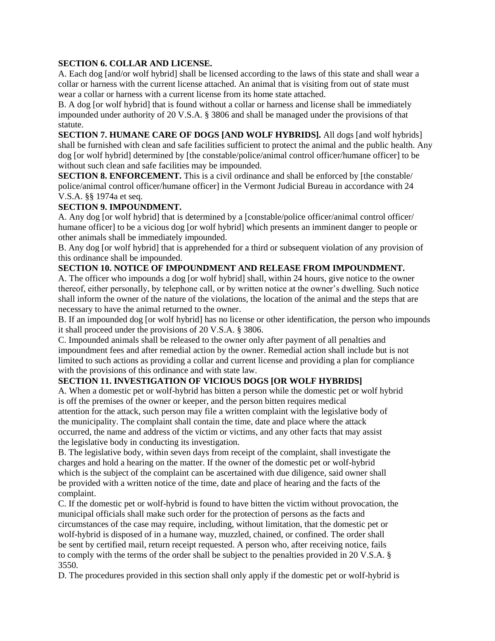#### **SECTION 6. COLLAR AND LICENSE.**

A. Each dog [and/or wolf hybrid] shall be licensed according to the laws of this state and shall wear a collar or harness with the current license attached. An animal that is visiting from out of state must wear a collar or harness with a current license from its home state attached.

B. A dog [or wolf hybrid] that is found without a collar or harness and license shall be immediately impounded under authority of 20 V.S.A. § 3806 and shall be managed under the provisions of that statute.

**SECTION 7. HUMANE CARE OF DOGS [AND WOLF HYBRIDS].** All dogs [and wolf hybrids] shall be furnished with clean and safe facilities sufficient to protect the animal and the public health. Any dog [or wolf hybrid] determined by [the constable/police/animal control officer/humane officer] to be without such clean and safe facilities may be impounded.

**SECTION 8. ENFORCEMENT.** This is a civil ordinance and shall be enforced by [the constable/ police/animal control officer/humane officer] in the Vermont Judicial Bureau in accordance with 24 V.S.A. §§ 1974a et seq.

#### **SECTION 9. IMPOUNDMENT.**

A. Any dog [or wolf hybrid] that is determined by a [constable/police officer/animal control officer/ humane officer] to be a vicious dog [or wolf hybrid] which presents an imminent danger to people or other animals shall be immediately impounded.

B. Any dog [or wolf hybrid] that is apprehended for a third or subsequent violation of any provision of this ordinance shall be impounded.

#### **SECTION 10. NOTICE OF IMPOUNDMENT AND RELEASE FROM IMPOUNDMENT.**

A. The officer who impounds a dog [or wolf hybrid] shall, within 24 hours, give notice to the owner thereof, either personally, by telephone call, or by written notice at the owner's dwelling. Such notice shall inform the owner of the nature of the violations, the location of the animal and the steps that are necessary to have the animal returned to the owner.

B. If an impounded dog [or wolf hybrid] has no license or other identification, the person who impounds it shall proceed under the provisions of 20 V.S.A. § 3806.

C. Impounded animals shall be released to the owner only after payment of all penalties and impoundment fees and after remedial action by the owner. Remedial action shall include but is not limited to such actions as providing a collar and current license and providing a plan for compliance with the provisions of this ordinance and with state law.

#### **SECTION 11. INVESTIGATION OF VICIOUS DOGS [OR WOLF HYBRIDS]**

A. When a domestic pet or wolf-hybrid has bitten a person while the domestic pet or wolf hybrid is off the premises of the owner or keeper, and the person bitten requires medical attention for the attack, such person may file a written complaint with the legislative body of the municipality. The complaint shall contain the time, date and place where the attack occurred, the name and address of the victim or victims, and any other facts that may assist the legislative body in conducting its investigation.

B. The legislative body, within seven days from receipt of the complaint, shall investigate the charges and hold a hearing on the matter. If the owner of the domestic pet or wolf-hybrid which is the subject of the complaint can be ascertained with due diligence, said owner shall be provided with a written notice of the time, date and place of hearing and the facts of the complaint.

C. If the domestic pet or wolf-hybrid is found to have bitten the victim without provocation, the municipal officials shall make such order for the protection of persons as the facts and circumstances of the case may require, including, without limitation, that the domestic pet or wolf-hybrid is disposed of in a humane way, muzzled, chained, or confined. The order shall be sent by certified mail, return receipt requested. A person who, after receiving notice, fails to comply with the terms of the order shall be subject to the penalties provided in 20 V.S.A. § 3550.

D. The procedures provided in this section shall only apply if the domestic pet or wolf-hybrid is